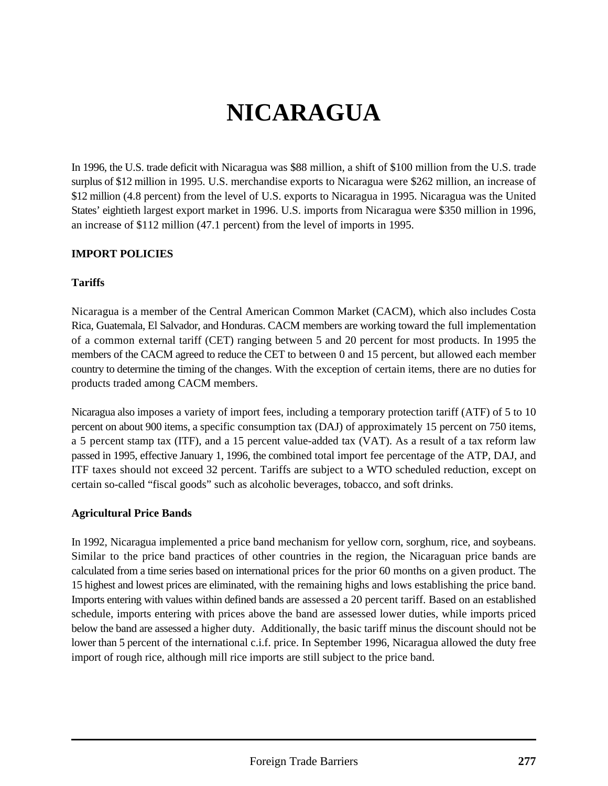# **NICARAGUA**

In 1996, the U.S. trade deficit with Nicaragua was \$88 million, a shift of \$100 million from the U.S. trade surplus of \$12 million in 1995. U.S. merchandise exports to Nicaragua were \$262 million, an increase of \$12 million (4.8 percent) from the level of U.S. exports to Nicaragua in 1995. Nicaragua was the United States' eightieth largest export market in 1996. U.S. imports from Nicaragua were \$350 million in 1996, an increase of \$112 million (47.1 percent) from the level of imports in 1995.

#### **IMPORT POLICIES**

#### **Tariffs**

Nicaragua is a member of the Central American Common Market (CACM), which also includes Costa Rica, Guatemala, El Salvador, and Honduras. CACM members are working toward the full implementation of a common external tariff (CET) ranging between 5 and 20 percent for most products. In 1995 the members of the CACM agreed to reduce the CET to between 0 and 15 percent, but allowed each member country to determine the timing of the changes. With the exception of certain items, there are no duties for products traded among CACM members.

Nicaragua also imposes a variety of import fees, including a temporary protection tariff (ATF) of 5 to 10 percent on about 900 items, a specific consumption tax (DAJ) of approximately 15 percent on 750 items, a 5 percent stamp tax (ITF), and a 15 percent value-added tax (VAT). As a result of a tax reform law passed in 1995, effective January 1, 1996, the combined total import fee percentage of the ATP, DAJ, and ITF taxes should not exceed 32 percent. Tariffs are subject to a WTO scheduled reduction, except on certain so-called "fiscal goods" such as alcoholic beverages, tobacco, and soft drinks.

#### **Agricultural Price Bands**

In 1992, Nicaragua implemented a price band mechanism for yellow corn, sorghum, rice, and soybeans. Similar to the price band practices of other countries in the region, the Nicaraguan price bands are calculated from a time series based on international prices for the prior 60 months on a given product. The 15 highest and lowest prices are eliminated, with the remaining highs and lows establishing the price band. Imports entering with values within defined bands are assessed a 20 percent tariff. Based on an established schedule, imports entering with prices above the band are assessed lower duties, while imports priced below the band are assessed a higher duty. Additionally, the basic tariff minus the discount should not be lower than 5 percent of the international c.i.f. price. In September 1996, Nicaragua allowed the duty free import of rough rice, although mill rice imports are still subject to the price band.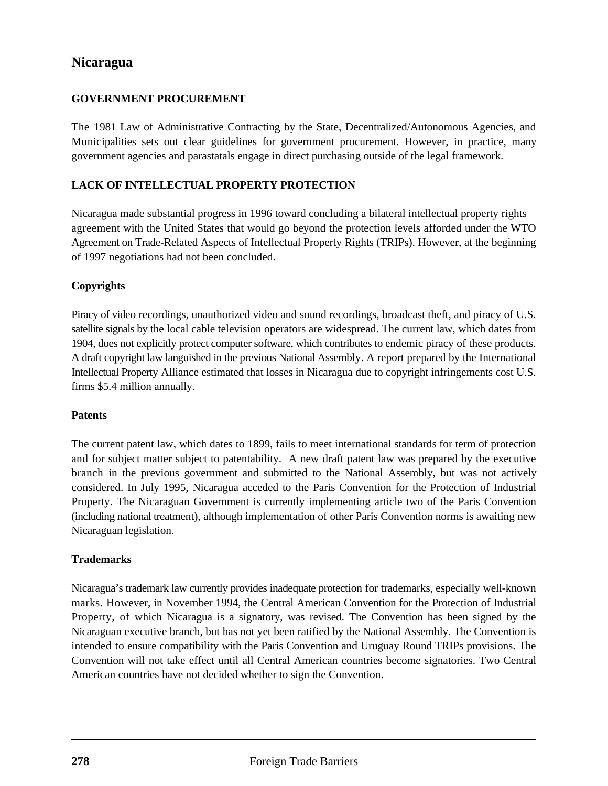# **Nicaragua**

#### **GOVERNMENT PROCUREMENT**

The 1981 Law of Administrative Contracting by the State, Decentralized/Autonomous Agencies, and Municipalities sets out clear guidelines for government procurement. However, in practice, many government agencies and parastatals engage in direct purchasing outside of the legal framework.

#### **LACK OF INTELLECTUAL PROPERTY PROTECTION**

Nicaragua made substantial progress in 1996 toward concluding a bilateral intellectual property rights agreement with the United States that would go beyond the protection levels afforded under the WTO Agreement on Trade-Related Aspects of Intellectual Property Rights (TRIPs). However, at the beginning of 1997 negotiations had not been concluded.

### **Copyrights**

Piracy of video recordings, unauthorized video and sound recordings, broadcast theft, and piracy of U.S. satellite signals by the local cable television operators are widespread. The current law, which dates from 1904, does not explicitly protect computer software, which contributes to endemic piracy of these products. A draft copyright law languished in the previous National Assembly. A report prepared by the International Intellectual Property Alliance estimated that losses in Nicaragua due to copyright infringements cost U.S. firms \$5.4 million annually.

#### **Patents**

The current patent law, which dates to 1899, fails to meet international standards for term of protection and for subject matter subject to patentability. A new draft patent law was prepared by the executive branch in the previous government and submitted to the National Assembly, but was not actively considered. In July 1995, Nicaragua acceded to the Paris Convention for the Protection of Industrial Property. The Nicaraguan Government is currently implementing article two of the Paris Convention (including national treatment), although implementation of other Paris Convention norms is awaiting new Nicaraguan legislation.

#### **Trademarks**

Nicaragua's trademark law currently provides inadequate protection for trademarks, especially well-known marks. However, in November 1994, the Central American Convention for the Protection of Industrial Property, of which Nicaragua is a signatory, was revised. The Convention has been signed by the Nicaraguan executive branch, but has not yet been ratified by the National Assembly. The Convention is intended to ensure compatibility with the Paris Convention and Uruguay Round TRIPs provisions. The Convention will not take effect until all Central American countries become signatories. Two Central American countries have not decided whether to sign the Convention.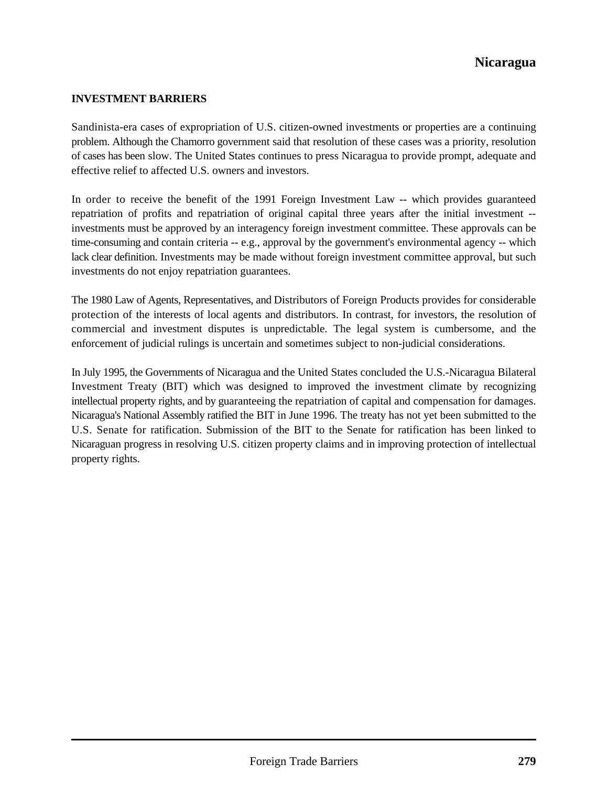# **Nicaragua**

#### **INVESTMENT BARRIERS**

Sandinista-era cases of expropriation of U.S. citizen-owned investments or properties are a continuing problem. Although the Chamorro government said that resolution of these cases was a priority, resolution of cases has been slow. The United States continues to press Nicaragua to provide prompt, adequate and effective relief to affected U.S. owners and investors.

In order to receive the benefit of the 1991 Foreign Investment Law -- which provides guaranteed repatriation of profits and repatriation of original capital three years after the initial investment - investments must be approved by an interagency foreign investment committee. These approvals can be time-consuming and contain criteria -- e.g., approval by the government's environmental agency -- which lack clear definition. Investments may be made without foreign investment committee approval, but such investments do not enjoy repatriation guarantees.

The 1980 Law of Agents, Representatives, and Distributors of Foreign Products provides for considerable protection of the interests of local agents and distributors. In contrast, for investors, the resolution of commercial and investment disputes is unpredictable. The legal system is cumbersome, and the enforcement of judicial rulings is uncertain and sometimes subject to non-judicial considerations.

In July 1995, the Governments of Nicaragua and the United States concluded the U.S.-Nicaragua Bilateral Investment Treaty (BIT) which was designed to improved the investment climate by recognizing intellectual property rights, and by guaranteeing the repatriation of capital and compensation for damages. Nicaragua's National Assembly ratified the BIT in June 1996. The treaty has not yet been submitted to the U.S. Senate for ratification. Submission of the BIT to the Senate for ratification has been linked to Nicaraguan progress in resolving U.S. citizen property claims and in improving protection of intellectual property rights.